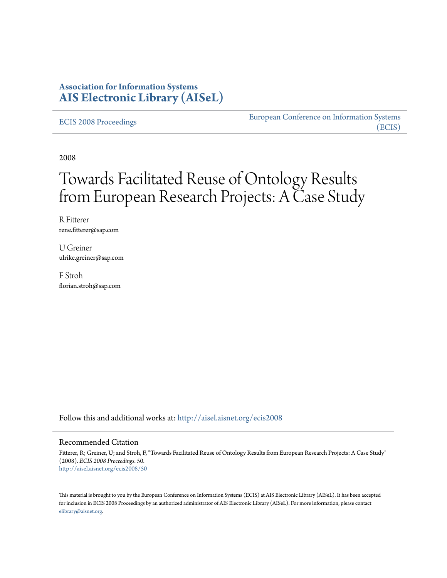### **Association for Information Systems [AIS Electronic Library \(AISeL\)](http://aisel.aisnet.org?utm_source=aisel.aisnet.org%2Fecis2008%2F50&utm_medium=PDF&utm_campaign=PDFCoverPages)**

#### [ECIS 2008 Proceedings](http://aisel.aisnet.org/ecis2008?utm_source=aisel.aisnet.org%2Fecis2008%2F50&utm_medium=PDF&utm_campaign=PDFCoverPages)

[European Conference on Information Systems](http://aisel.aisnet.org/ecis?utm_source=aisel.aisnet.org%2Fecis2008%2F50&utm_medium=PDF&utm_campaign=PDFCoverPages) [\(ECIS\)](http://aisel.aisnet.org/ecis?utm_source=aisel.aisnet.org%2Fecis2008%2F50&utm_medium=PDF&utm_campaign=PDFCoverPages)

2008

# Towards Facilitated Reuse of Ontology Results from European Research Projects: A Case Study

R Fitterer rene.fitterer@sap.com

U Greiner ulrike.greiner@sap.com

F Stroh florian.stroh@sap.com

Follow this and additional works at: [http://aisel.aisnet.org/ecis2008](http://aisel.aisnet.org/ecis2008?utm_source=aisel.aisnet.org%2Fecis2008%2F50&utm_medium=PDF&utm_campaign=PDFCoverPages)

#### Recommended Citation

Fitterer, R; Greiner, U; and Stroh, F, "Towards Facilitated Reuse of Ontology Results from European Research Projects: A Case Study" (2008). *ECIS 2008 Proceedings*. 50. [http://aisel.aisnet.org/ecis2008/50](http://aisel.aisnet.org/ecis2008/50?utm_source=aisel.aisnet.org%2Fecis2008%2F50&utm_medium=PDF&utm_campaign=PDFCoverPages)

This material is brought to you by the European Conference on Information Systems (ECIS) at AIS Electronic Library (AISeL). It has been accepted for inclusion in ECIS 2008 Proceedings by an authorized administrator of AIS Electronic Library (AISeL). For more information, please contact [elibrary@aisnet.org.](mailto:elibrary@aisnet.org%3E)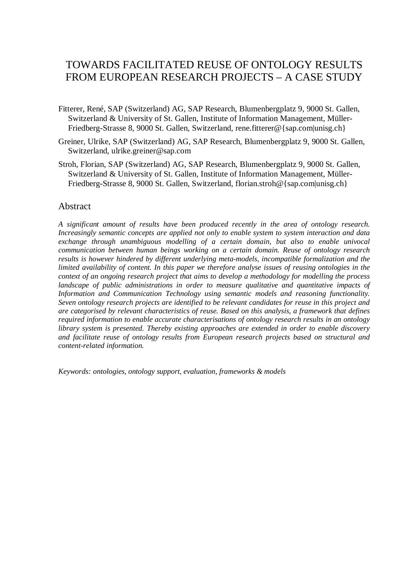# TOWARDS FACILITATED REUSE OF ONTOLOGY RESULTS FROM EUROPEAN RESEARCH PROJECTS – A CASE STUDY

- Fitterer, René, SAP (Switzerland) AG, SAP Research, Blumenbergplatz 9, 9000 St. Gallen, Switzerland & University of St. Gallen, Institute of Information Management, Müller-Friedberg-Strasse 8, 9000 St. Gallen, Switzerland, rene.fitterer@{sap.com|unisg.ch}
- Greiner, Ulrike, SAP (Switzerland) AG, SAP Research, Blumenbergplatz 9, 9000 St. Gallen, Switzerland, [ulrike.greiner@sap.com](mailto:ulrike.greiner@sap.com)
- Stroh, Florian, SAP (Switzerland) AG, SAP Research, Blumenbergplatz 9, 9000 St. Gallen, Switzerland & University of St. Gallen, Institute of Information Management, Müller-Friedberg-Strasse 8, 9000 St. Gallen, Switzerland, florian.stroh@{sap.com|unisg.ch}

### Abstract

*A significant amount of results have been produced recently in the area of ontology research. Increasingly semantic concepts are applied not only to enable system to system interaction and data exchange through unambiguous modelling of a certain domain, but also to enable univocal communication between human beings working on a certain domain. Reuse of ontology research results is however hindered by different underlying meta-models, incompatible formalization and the limited availability of content. In this paper we therefore analyse issues of reusing ontologies in the context of an ongoing research project that aims to develop a methodology for modelling the process landscape of public administrations in order to measure qualitative and quantitative impacts of Information and Communication Technology using semantic models and reasoning functionality. Seven ontology research projects are identified to be relevant candidates for reuse in this project and are categorised by relevant characteristics of reuse. Based on this analysis, a framework that defines required information to enable accurate characterisations of ontology research results in an ontology library system is presented. Thereby existing approaches are extended in order to enable discovery and facilitate reuse of ontology results from European research projects based on structural and content-related information.*

*Keywords: ontologies, ontology support, evaluation, frameworks & models*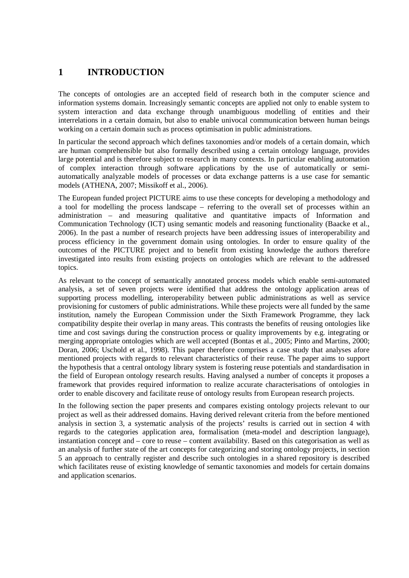# **1 INTRODUCTION**

The concepts of ontologies are an accepted field of research both in the computer science and information systems domain. Increasingly semantic concepts are applied not only to enable system to system interaction and data exchange through unambiguous modelling of entities and their interrelations in a certain domain, but also to enable univocal communication between human beings working on a certain domain such as process optimisation in public administrations.

In particular the second approach which defines taxonomies and/or models of a certain domain, which are human comprehensible but also formally described using a certain ontology language, provides large potential and is therefore subject to research in many contexts. In particular enabling automation of complex interaction through software applications by the use of automatically or semiautomatically analyzable models of processes or data exchange patterns is a use case for semantic models (ATHENA, 2007; Missikoff et al., 2006).

The European funded project PICTURE aims to use these concepts for developing a methodology and a tool for modelling the process landscape – referring to the overall set of processes within an administration – and measuring qualitative and quantitative impacts of Information and Communication Technology (ICT) using semantic models and reasoning functionality (Baacke et al., 2006). In the past a number of research projects have been addressing issues of interoperability and process efficiency in the government domain using ontologies. In order to ensure quality of the outcomes of the PICTURE project and to benefit from existing knowledge the authors therefore investigated into results from existing projects on ontologies which are relevant to the addressed topics.

As relevant to the concept of semantically annotated process models which enable semi-automated analysis, a set of seven projects were identified that address the ontology application areas of supporting process modelling, interoperability between public administrations as well as service provisioning for customers of public administrations. While these projects were all funded by the same institution, namely the European Commission under the Sixth Framework Programme, they lack compatibility despite their overlap in many areas. This contrasts the benefits of reusing ontologies like time and cost savings during the construction process or quality improvements by e.g. integrating or merging appropriate ontologies which are well accepted (Bontas et al., 2005; Pinto and Martins, 2000; Doran, 2006; Uschold et al., 1998). This paper therefore comprises a case study that analyses afore mentioned projects with regards to relevant characteristics of their reuse. The paper aims to support the hypothesis that a central ontology library system is fostering reuse potentials and standardisation in the field of European ontology research results. Having analysed a number of concepts it proposes a framework that provides required information to realize accurate characterisations of ontologies in order to enable discovery and facilitate reuse of ontology results from European research projects.

In the following section the paper presents and compares existing ontology projects relevant to our project as well as their addressed domains. Having derived relevant criteria from the before mentioned analysis in section 3, a systematic analysis of the projects' results is carried out in section 4 with regards to the categories application area, formalisation (meta-model and description language), instantiation concept and – core to reuse – content availability. Based on this categorisation as well as an analysis of further state of the art concepts for categorizing and storing ontology projects, in section 5 an approach to centrally register and describe such ontologies in a shared repository is described which facilitates reuse of existing knowledge of semantic taxonomies and models for certain domains and application scenarios.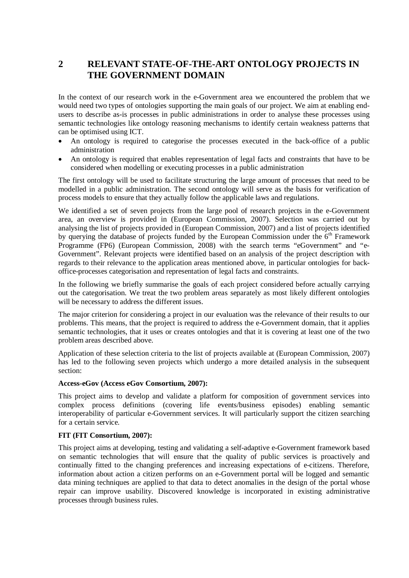## **2 RELEVANT STATE-OF-THE-ART ONTOLOGY PROJECTS IN THE GOVERNMENT DOMAIN**

In the context of our research work in the e-Government area we encountered the problem that we would need two types of ontologies supporting the main goals of our project. We aim at enabling endusers to describe as-is processes in public administrations in order to analyse these processes using semantic technologies like ontology reasoning mechanisms to identify certain weakness patterns that can be optimised using ICT.

- An ontology is required to categorise the processes executed in the back-office of a public administration
- An ontology is required that enables representation of legal facts and constraints that have to be considered when modelling or executing processes in a public administration

The first ontology will be used to facilitate structuring the large amount of processes that need to be modelled in a public administration. The second ontology will serve as the basis for verification of process models to ensure that they actually follow the applicable laws and regulations.

We identified a set of seven projects from the large pool of research projects in the e-Government area, an overview is provided in (European Commission, 2007). Selection was carried out by analysing the list of projects provided in (European Commission, 2007) and a list of projects identified by querying the database of projects funded by the European Commission under the  $6<sup>th</sup>$  Framework Programme (FP6) (European Commission, 2008) with the search terms "eGovernment" and "e-Government". Relevant projects were identified based on an analysis of the project description with regards to their relevance to the application areas mentioned above, in particular ontologies for backoffice-processes categorisation and representation of legal facts and constraints.

In the following we briefly summarise the goals of each project considered before actually carrying out the categorisation. We treat the two problem areas separately as most likely different ontologies will be necessary to address the different issues.

The major criterion for considering a project in our evaluation was the relevance of their results to our problems. This means, that the project is required to address the e-Government domain, that it applies semantic technologies, that it uses or creates ontologies and that it is covering at least one of the two problem areas described above.

Application of these selection criteria to the list of projects available at (European Commission, 2007) has led to the following seven projects which undergo a more detailed analysis in the subsequent section:

### **Access-eGov (Access eGov Consortium, 2007):**

This project aims to develop and validate a platform for composition of government services into complex process definitions (covering life events/business episodes) enabling semantic interoperability of particular e-Government services. It will particularly support the citizen searching for a certain service.

### **FIT (FIT Consortium, 2007):**

This project aims at developing, testing and validating a self-adaptive e-Government framework based on semantic technologies that will ensure that the quality of public services is proactively and continually fitted to the changing preferences and increasing expectations of e-citizens. Therefore, information about action a citizen performs on an e-Government portal will be logged and semantic data mining techniques are applied to that data to detect anomalies in the design of the portal whose repair can improve usability. Discovered knowledge is incorporated in existing administrative processes through business rules.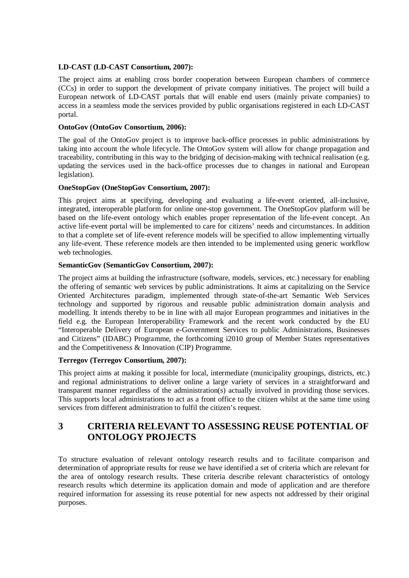### **LD-CAST (LD-CAST Consortium, 2007):**

The project aims at enabling cross border cooperation between European chambers of commerce (CCs) in order to support the development of private company initiatives. The project will build a European network of LD-CAST portals that will enable end users (mainly private companies) to access in a seamless mode the services provided by public organisations registered in each LD-CAST portal.

### **OntoGov (OntoGov Consortium, 2006):**

The goal of the OntoGov project is to improve back-office processes in public administrations by taking into account the whole lifecycle. The OntoGov system will allow for change propagation and traceability, contributing in this way to the bridging of decision-making with technical realisation (e.g. updating the services used in the back-office processes due to changes in national and European legislation).

### **OneStopGov (OneStopGov Consortium, 2007):**

This project aims at specifying, developing and evaluating a life-event oriented, all-inclusive, integrated, interoperable platform for online one-stop government. The OneStopGov platform will be based on the life-event ontology which enables proper representation of the life-event concept. An active life-event portal will be implemented to care for citizens' needs and circumstances. In addition to that a complete set of life-event reference models will be specified to allow implementing virtually any life-event. These reference models are then intended to be implemented using generic workflow web technologies.

### **SemanticGov (SemanticGov Consortium, 2007):**

The project aims at building the infrastructure (software, models, services, etc.) necessary for enabling the offering of semantic web services by public administrations. It aims at capitalizing on the Service Oriented Architectures paradigm, implemented through state-of-the-art Semantic Web Services technology and supported by rigorous and reusable public administration domain analysis and modelling. It intends thereby to be in line with all major European programmes and initiatives in the field e.g. the European Interoperability Framework and the recent work conducted by the EU "Interoperable Delivery of European e-Government Services to public Administrations, Businesses and Citizens" (IDABC) Programme, the forthcoming i2010 group of Member States representatives and the Competitiveness & Innovation (CIP) Programme.

### **Terregov (Terregov Consortium, 2007):**

This project aims at making it possible for local, intermediate (municipality groupings, districts, etc.) and regional administrations to deliver online a large variety of services in a straightforward and transparent manner regardless of the administration(s) actually involved in providing those services. This supports local administrations to act as a front office to the citizen whilst at the same time using services from different administration to fulfil the citizen's request.

## **3 CRITERIA RELEVANT TO ASSESSING REUSE POTENTIAL OF ONTOLOGY PROJECTS**

To structure evaluation of relevant ontology research results and to facilitate comparison and determination of appropriate results for reuse we have identified a set of criteria which are relevant for the area of ontology research results. These criteria describe relevant characteristics of ontology research results which determine its application domain and mode of application and are therefore required information for assessing its reuse potential for new aspects not addressed by their original purposes.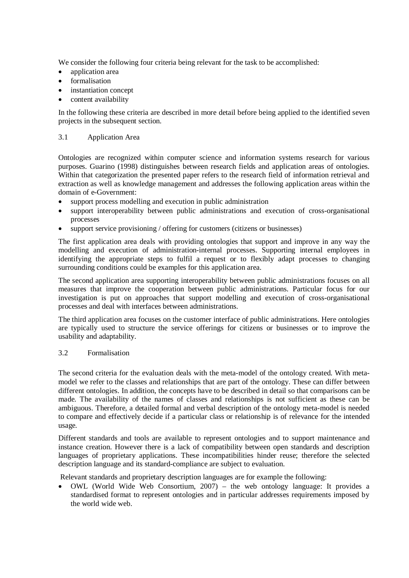We consider the following four criteria being relevant for the task to be accomplished:

- application area
- formalisation
- instantiation concept
- content availability

In the following these criteria are described in more detail before being applied to the identified seven projects in the subsequent section.

### 3.1 Application Area

Ontologies are recognized within computer science and information systems research for various purposes. Guarino (1998) distinguishes between research fields and application areas of ontologies. Within that categorization the presented paper refers to the research field of information retrieval and extraction as well as knowledge management and addresses the following application areas within the domain of e-Government:

- $\bullet$  support process modelling and execution in public administration
- support interoperability between public administrations and execution of cross-organisational processes
- support service provisioning / offering for customers (citizens or businesses)

The first application area deals with providing ontologies that support and improve in any way the modelling and execution of administration-internal processes. Supporting internal employees in identifying the appropriate steps to fulfil a request or to flexibly adapt processes to changing surrounding conditions could be examples for this application area.

The second application area supporting interoperability between public administrations focuses on all measures that improve the cooperation between public administrations. Particular focus for our investigation is put on approaches that support modelling and execution of cross-organisational processes and deal with interfaces between administrations.

The third application area focuses on the customer interface of public administrations. Here ontologies are typically used to structure the service offerings for citizens or businesses or to improve the usability and adaptability.

### 3.2 Formalisation

The second criteria for the evaluation deals with the meta-model of the ontology created. With metamodel we refer to the classes and relationships that are part of the ontology. These can differ between different ontologies. In addition, the concepts have to be described in detail so that comparisons can be made. The availability of the names of classes and relationships is not sufficient as these can be ambiguous. Therefore, a detailed formal and verbal description of the ontology meta-model is needed to compare and effectively decide if a particular class or relationship is of relevance for the intended usage.

Different standards and tools are available to represent ontologies and to support maintenance and instance creation. However there is a lack of compatibility between open standards and description languages of proprietary applications. These incompatibilities hinder reuse; therefore the selected description language and its standard-compliance are subject to evaluation.

Relevant standards and proprietary description languages are for example the following:

x OWL (World Wide Web Consortium, 2007) – the web ontology language: It provides a standardised format to represent ontologies and in particular addresses requirements imposed by the world wide web.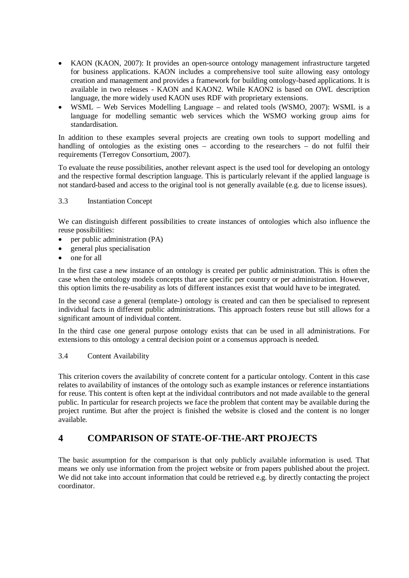- KAON (KAON, 2007): It provides an open-source ontology management infrastructure targeted for business applications. KAON includes a comprehensive tool suite allowing easy ontology creation and management and provides a framework for building ontology-based applications. It is available in two releases - KAON and KAON2. While KAON2 is based on OWL description language, the more widely used KAON uses RDF with proprietary extensions.
- x WSML Web Services Modelling Language and related tools (WSMO, 2007): WSML is a language for modelling semantic web services which the WSMO working group aims for standardisation.

In addition to these examples several projects are creating own tools to support modelling and handling of ontologies as the existing ones – according to the researchers – do not fulfil their requirements (Terregov Consortium, 2007).

To evaluate the reuse possibilities, another relevant aspect is the used tool for developing an ontology and the respective formal description language. This is particularly relevant if the applied language is not standard-based and access to the original tool is not generally available (e.g. due to license issues).

### 3.3 Instantiation Concept

We can distinguish different possibilities to create instances of ontologies which also influence the reuse possibilities:

- per public administration (PA)
- x general plus specialisation
- one for all

In the first case a new instance of an ontology is created per public administration. This is often the case when the ontology models concepts that are specific per country or per administration. However, this option limits the re-usability as lots of different instances exist that would have to be integrated.

In the second case a general (template-) ontology is created and can then be specialised to represent individual facts in different public administrations. This approach fosters reuse but still allows for a significant amount of individual content.

In the third case one general purpose ontology exists that can be used in all administrations. For extensions to this ontology a central decision point or a consensus approach is needed.

### 3.4 Content Availability

This criterion covers the availability of concrete content for a particular ontology. Content in this case relates to availability of instances of the ontology such as example instances or reference instantiations for reuse. This content is often kept at the individual contributors and not made available to the general public. In particular for research projects we face the problem that content may be available during the project runtime. But after the project is finished the website is closed and the content is no longer available.

### **4 COMPARISON OF STATE-OF-THE-ART PROJECTS**

The basic assumption for the comparison is that only publicly available information is used. That means we only use information from the project website or from papers published about the project. We did not take into account information that could be retrieved e.g. by directly contacting the project coordinator.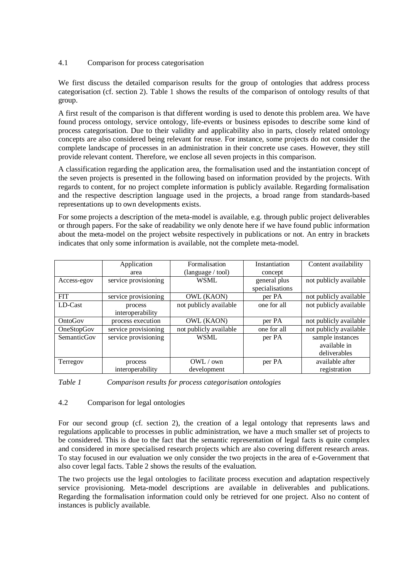### 4.1 Comparison for process categorisation

We first discuss the detailed comparison results for the group of ontologies that address process categorisation (cf. section 2). Table 1 shows the results of the comparison of ontology results of that group.

A first result of the comparison is that different wording is used to denote this problem area. We have found process ontology, service ontology, life-events or business episodes to describe some kind of process categorisation. Due to their validity and applicability also in parts, closely related ontology concepts are also considered being relevant for reuse. For instance, some projects do not consider the complete landscape of processes in an administration in their concrete use cases. However, they still provide relevant content. Therefore, we enclose all seven projects in this comparison.

A classification regarding the application area, the formalisation used and the instantiation concept of the seven projects is presented in the following based on information provided by the projects. With regards to content, for no project complete information is publicly available. Regarding formalisation and the respective description language used in the projects, a broad range from standards-based representations up to own developments exists.

For some projects a description of the meta-model is available, e.g. through public project deliverables or through papers. For the sake of readability we only denote here if we have found public information about the meta-model on the project website respectively in publications or not. An entry in brackets indicates that only some information is available, not the complete meta-model.

|             | Application          | Formalisation          | Instantiation   | Content availability   |
|-------------|----------------------|------------------------|-----------------|------------------------|
|             | area                 | (language / tool)      | concept         |                        |
| Access-egov | service provisioning | <b>WSML</b>            | general plus    | not publicly available |
|             |                      |                        | specialisations |                        |
| <b>FIT</b>  | service provisioning | OWL (KAON)             | per PA          | not publicly available |
| $LD-Cast$   | process              | not publicly available | one for all     | not publicly available |
|             | interoperability     |                        |                 |                        |
| OntoGov     | process execution    | OWL (KAON)             | per PA          | not publicly available |
| OneStopGov  | service provisioning | not publicly available | one for all     | not publicly available |
| SemanticGov | service provisioning | <b>WSML</b>            | per PA          | sample instances       |
|             |                      |                        |                 | available in           |
|             |                      |                        |                 | deliverables           |
| Terregov    | process              | OWL / own              | per PA          | available after        |
|             | interoperability     | development            |                 | registration           |

*Table 1 Comparison results for process categorisation ontologies*

### 4.2 Comparison for legal ontologies

For our second group (cf. section 2), the creation of a legal ontology that represents laws and regulations applicable to processes in public administration, we have a much smaller set of projects to be considered. This is due to the fact that the semantic representation of legal facts is quite complex and considered in more specialised research projects which are also covering different research areas. To stay focused in our evaluation we only consider the two projects in the area of e-Government that also cover legal facts. Table 2 shows the results of the evaluation.

The two projects use the legal ontologies to facilitate process execution and adaptation respectively service provisioning. Meta-model descriptions are available in deliverables and publications. Regarding the formalisation information could only be retrieved for one project. Also no content of instances is publicly available.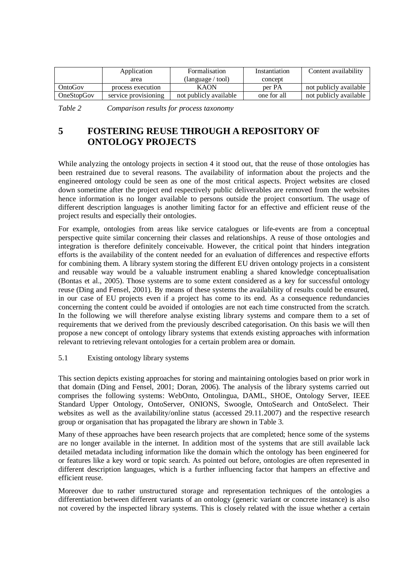|                   | Application          | <b>Formalisation</b>              | Instantiation | Content availability   |
|-------------------|----------------------|-----------------------------------|---------------|------------------------|
|                   | area                 | $(\text{language} / \text{tool})$ | concept       |                        |
| OntoGov           | process execution    | <b>KAON</b>                       | per PA        | not publicly available |
| <b>OneStopGov</b> | service provisioning | not publicly available            | one for all   | not publicly available |

*Table 2 Comparison results for process taxonomy*

## **5 FOSTERING REUSE THROUGH A REPOSITORY OF ONTOLOGY PROJECTS**

While analyzing the ontology projects in section 4 it stood out, that the reuse of those ontologies has been restrained due to several reasons. The availability of information about the projects and the engineered ontology could be seen as one of the most critical aspects. Project websites are closed down sometime after the project end respectively public deliverables are removed from the websites hence information is no longer available to persons outside the project consortium. The usage of different description languages is another limiting factor for an effective and efficient reuse of the project results and especially their ontologies.

For example, ontologies from areas like service catalogues or life-events are from a conceptual perspective quite similar concerning their classes and relationships. A reuse of those ontologies and integration is therefore definitely conceivable. However, the critical point that hinders integration efforts is the availability of the content needed for an evaluation of differences and respective efforts for combining them. A library system storing the different EU driven ontology projects in a consistent and reusable way would be a valuable instrument enabling a shared knowledge conceptualisation (Bontas et al., 2005). Those systems are to some extent considered as a key for successful ontology reuse (Ding and Fensel, 2001). By means of these systems the availability of results could be ensured, in our case of EU projects even if a project has come to its end. As a consequence redundancies concerning the content could be avoided if ontologies are not each time constructed from the scratch. In the following we will therefore analyse existing library systems and compare them to a set of requirements that we derived from the previously described categorisation. On this basis we will then propose a new concept of ontology library systems that extends existing approaches with information relevant to retrieving relevant ontologies for a certain problem area or domain.

### 5.1 Existing ontology library systems

This section depicts existing approaches for storing and maintaining ontologies based on prior work in that domain (Ding and Fensel, 2001; Doran, 2006). The analysis of the library systems carried out comprises the following systems: WebOnto, Ontolingua, DAML, SHOE, Ontology Server, IEEE Standard Upper Ontology, OntoServer, ONIONS, Swoogle, OntoSearch and OntoSelect. Their websites as well as the availability/online status (accessed 29.11.2007) and the respective research group or organisation that has propagated the library are shown in Table 3.

Many of these approaches have been research projects that are completed; hence some of the systems are no longer available in the internet. In addition most of the systems that are still available lack detailed metadata including information like the domain which the ontology has been engineered for or features like a key word or topic search. As pointed out before, ontologies are often represented in different description languages, which is a further influencing factor that hampers an effective and efficient reuse.

Moreover due to rather unstructured storage and representation techniques of the ontologies a differentiation between different variants of an ontology (generic variant or concrete instance) is also not covered by the inspected library systems. This is closely related with the issue whether a certain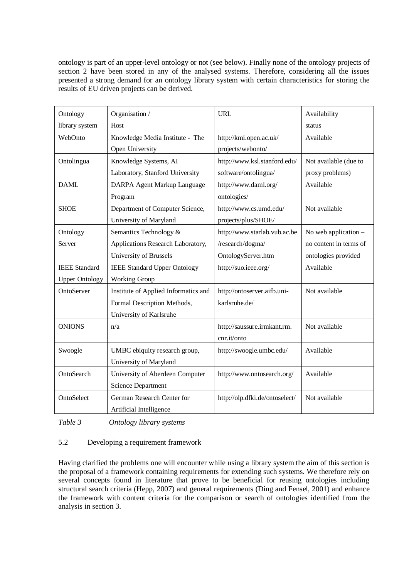ontology is part of an upper-level ontology or not (see below). Finally none of the ontology projects of section 2 have been stored in any of the analysed systems. Therefore, considering all the issues presented a strong demand for an ontology library system with certain characteristics for storing the results of EU driven projects can be derived.

| Ontology              | Organisation /                       | <b>URL</b>                     | Availability           |
|-----------------------|--------------------------------------|--------------------------------|------------------------|
| library system        | Host                                 |                                | status                 |
| WebOnto               | Knowledge Media Institute - The      | http://kmi.open.ac.uk/         | Available              |
|                       | Open University                      | projects/webonto/              |                        |
| Ontolingua            | Knowledge Systems, AI                | http://www.ksl.stanford.edu/   | Not available (due to  |
|                       | Laboratory, Stanford University      | software/ontolingua/           | proxy problems)        |
| <b>DAML</b>           | DARPA Agent Markup Language          | http://www.daml.org/           | Available              |
|                       | Program                              | ontologies/                    |                        |
| <b>SHOE</b>           | Department of Computer Science,      | http://www.cs.umd.edu/         | Not available          |
|                       | University of Maryland               | projects/plus/SHOE/            |                        |
| Ontology              | Semantics Technology &               | http://www.starlab.vub.ac.be   | No web application -   |
| Server                | Applications Research Laboratory,    | /research/dogma/               | no content in terms of |
|                       | University of Brussels               | OntologyServer.htm             | ontologies provided    |
| <b>IEEE</b> Standard  | <b>IEEE Standard Upper Ontology</b>  | http://suo.ieee.org/           | Available              |
| <b>Upper Ontology</b> | Working Group                        |                                |                        |
| OntoServer            | Institute of Applied Informatics and | http://ontoserver.aifb.uni-    | Not available          |
|                       | Formal Description Methods,          | karlsruhe.de/                  |                        |
|                       | University of Karlsruhe              |                                |                        |
| <b>ONIONS</b>         | n/a                                  | http://saussure.irmkant.rm.    | Not available          |
|                       |                                      | cnr.it/onto                    |                        |
| Swoogle               | UMBC ebiquity research group,        | http://swoogle.umbc.edu/       | Available              |
|                       | University of Maryland               |                                |                        |
| OntoSearch            | University of Aberdeen Computer      | http://www.ontosearch.org/     | Available              |
|                       | Science Department                   |                                |                        |
| OntoSelect            | German Research Center for           | http://olp.dfki.de/ontoselect/ | Not available          |
|                       | Artificial Intelligence              |                                |                        |

*Table 3 Ontology library systems*

### 5.2 Developing a requirement framework

Having clarified the problems one will encounter while using a library system the aim of this section is the proposal of a framework containing requirements for extending such systems. We therefore rely on several concepts found in literature that prove to be beneficial for reusing ontologies including structural search criteria (Hepp, 2007) and general requirements (Ding and Fensel, 2001) and enhance the framework with content criteria for the comparison or search of ontologies identified from the analysis in section 3.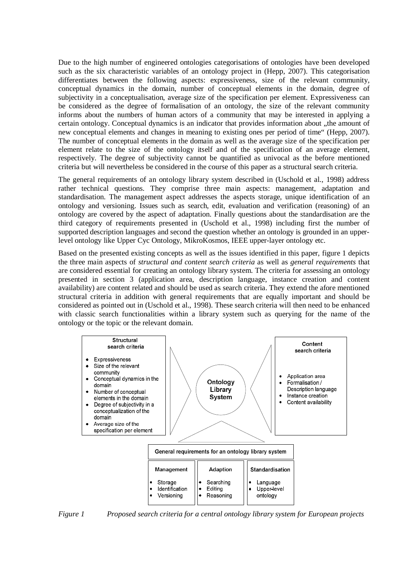Due to the high number of engineered ontologies categorisations of ontologies have been developed such as the six characteristic variables of an ontology project in (Hepp, 2007). This categorisation differentiates between the following aspects: expressiveness, size of the relevant community, conceptual dynamics in the domain, number of conceptual elements in the domain, degree of subjectivity in a conceptualisation, average size of the specification per element. Expressiveness can be considered as the degree of formalisation of an ontology, the size of the relevant community informs about the numbers of human actors of a community that may be interested in applying a certain ontology. Conceptual dynamics is an indicator that provides information about , the amount of new conceptual elements and changes in meaning to existing ones per period of time" (Hepp, 2007). The number of conceptual elements in the domain as well as the average size of the specification per element relate to the size of the ontology itself and of the specification of an average element, respectively. The degree of subjectivity cannot be quantified as univocal as the before mentioned criteria but will nevertheless be considered in the course of this paper as a structural search criteria.

The general requirements of an ontology library system described in (Uschold et al., 1998) address rather technical questions. They comprise three main aspects: management, adaptation and standardisation. The management aspect addresses the aspects storage, unique identification of an ontology and versioning. Issues such as search, edit, evaluation and verification (reasoning) of an ontology are covered by the aspect of adaptation. Finally questions about the standardisation are the third category of requirements presented in (Uschold et al., 1998) including first the number of supported description languages and second the question whether an ontology is grounded in an upperlevel ontology like Upper Cyc Ontology, MikroKosmos, IEEE upper-layer ontology etc.

Based on the presented existing concepts as well as the issues identified in this paper, figure 1 depicts the three main aspects of *structural and content search criteria* as well as *general requirements* that are considered essential for creating an ontology library system. The criteria for assessing an ontology presented in section 3 (application area, description language, instance creation and content availability) are content related and should be used as search criteria. They extend the afore mentioned structural criteria in addition with general requirements that are equally important and should be considered as pointed out in (Uschold et al., 1998). These search criteria will then need to be enhanced with classic search functionalities within a library system such as querying for the name of the ontology or the topic or the relevant domain.



*Figure 1 Proposed search criteria for a central ontology library system for European projects*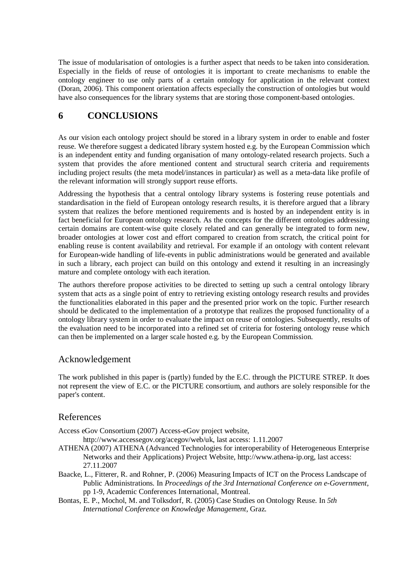The issue of modularisation of ontologies is a further aspect that needs to be taken into consideration. Especially in the fields of reuse of ontologies it is important to create mechanisms to enable the ontology engineer to use only parts of a certain ontology for application in the relevant context (Doran, 2006). This component orientation affects especially the construction of ontologies but would have also consequences for the library systems that are storing those component-based ontologies.

# **6 CONCLUSIONS**

As our vision each ontology project should be stored in a library system in order to enable and foster reuse. We therefore suggest a dedicated library system hosted e.g. by the European Commission which is an independent entity and funding organisation of many ontology-related research projects. Such a system that provides the afore mentioned content and structural search criteria and requirements including project results (the meta model/instances in particular) as well as a meta-data like profile of the relevant information will strongly support reuse efforts.

Addressing the hypothesis that a central ontology library systems is fostering reuse potentials and standardisation in the field of European ontology research results, it is therefore argued that a library system that realizes the before mentioned requirements and is hosted by an independent entity is in fact beneficial for European ontology research. As the concepts for the different ontologies addressing certain domains are content-wise quite closely related and can generally be integrated to form new, broader ontologies at lower cost and effort compared to creation from scratch, the critical point for enabling reuse is content availability and retrieval. For example if an ontology with content relevant for European-wide handling of life-events in public administrations would be generated and available in such a library, each project can build on this ontology and extend it resulting in an increasingly mature and complete ontology with each iteration.

The authors therefore propose activities to be directed to setting up such a central ontology library system that acts as a single point of entry to retrieving existing ontology research results and provides the functionalities elaborated in this paper and the presented prior work on the topic. Further research should be dedicated to the implementation of a prototype that realizes the proposed functionality of a ontology library system in order to evaluate the impact on reuse of ontologies. Subsequently, results of the evaluation need to be incorporated into a refined set of criteria for fostering ontology reuse which can then be implemented on a larger scale hosted e.g. by the European Commission.

### Acknowledgement

The work published in this paper is (partly) funded by the E.C. through the PICTURE STREP. It does not represent the view of E.C. or the PICTURE consortium, and authors are solely responsible for the paper's content.

### References

Access eGov Consortium (2007) Access-eGov project website,

[http://www.accessegov.org/acegov/web/uk,](http://www.accessegov.org/acegov/web/uk) last access: 1.11.2007

- ATHENA (2007) ATHENA (Advanced Technologies for interoperability of Heterogeneous Enterprise Networks and their Applications) Project Website, [http://www.athena-ip.org,](http://www.athena-ip.org) last access: 27.11.2007
- Baacke, L., Fitterer, R. and Rohner, P. (2006) Measuring Impacts of ICT on the Process Landscape of Public Administrations. In *Proceedings of the 3rd International Conference on e-Government*, pp 1-9, Academic Conferences International, Montreal.
- Bontas, E. P., Mochol, M. and Tolksdorf, R. (2005) Case Studies on Ontology Reuse. In *5th International Conference on Knowledge Management*, Graz.